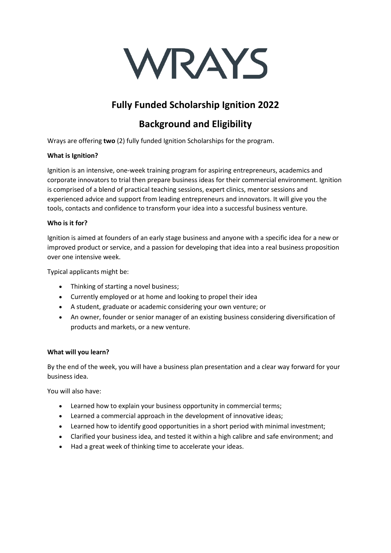

# **Fully Funded Scholarship Ignition 2022**

# **Background and Eligibility**

Wrays are offering **two** (2) fully funded Ignition Scholarships for the program.

## **What is Ignition?**

Ignition is an intensive, one-week training program for aspiring entrepreneurs, academics and corporate innovators to trial then prepare business ideas for their commercial environment. Ignition is comprised of a blend of practical teaching sessions, expert clinics, mentor sessions and experienced advice and support from leading entrepreneurs and innovators. It will give you the tools, contacts and confidence to transform your idea into a successful business venture.

## **Who is it for?**

Ignition is aimed at founders of an early stage business and anyone with a specific idea for a new or improved product or service, and a passion for developing that idea into a real business proposition over one intensive week.

Typical applicants might be:

- Thinking of starting a novel business;
- Currently employed or at home and looking to propel their idea
- A student, graduate or academic considering your own venture; or
- An owner, founder or senior manager of an existing business considering diversification of products and markets, or a new venture.

## **What will you learn?**

By the end of the week, you will have a business plan presentation and a clear way forward for your business idea.

You will also have:

- Learned how to explain your business opportunity in commercial terms;
- Learned a commercial approach in the development of innovative ideas;
- Learned how to identify good opportunities in a short period with minimal investment;
- Clarified your business idea, and tested it within a high calibre and safe environment; and
- Had a great week of thinking time to accelerate your ideas.